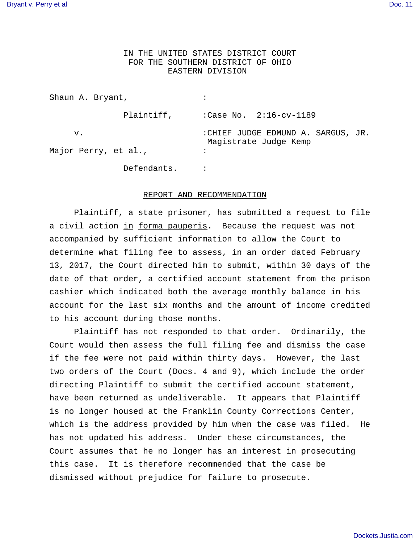## IN THE UNITED STATES DISTRICT COURT FOR THE SOUTHERN DISTRICT OF OHIO EASTERN DIVISION

| Shaun A. Bryant,           |                                                             |
|----------------------------|-------------------------------------------------------------|
| Plaintiff,                 | :Case No. $2:16-cv-1189$                                    |
| v.<br>Major Perry, et al., | :CHIEF JUDGE EDMUND A. SARGUS, JR.<br>Magistrate Judge Kemp |
| Defendants.                |                                                             |

## REPORT AND RECOMMENDATION

 Plaintiff, a state prisoner, has submitted a request to file a civil action in forma pauperis. Because the request was not accompanied by sufficient information to allow the Court to determine what filing fee to assess, in an order dated February 13, 2017, the Court directed him to submit, within 30 days of the date of that order, a certified account statement from the prison cashier which indicated both the average monthly balance in his account for the last six months and the amount of income credited to his account during those months.

Plaintiff has not responded to that order. Ordinarily, the Court would then assess the full filing fee and dismiss the case if the fee were not paid within thirty days. However, the last two orders of the Court (Docs. 4 and 9), which include the order directing Plaintiff to submit the certified account statement, have been returned as undeliverable. It appears that Plaintiff is no longer housed at the Franklin County Corrections Center, which is the address provided by him when the case was filed. He has not updated his address. Under these circumstances, the Court assumes that he no longer has an interest in prosecuting this case. It is therefore recommended that the case be dismissed without prejudice for failure to prosecute.